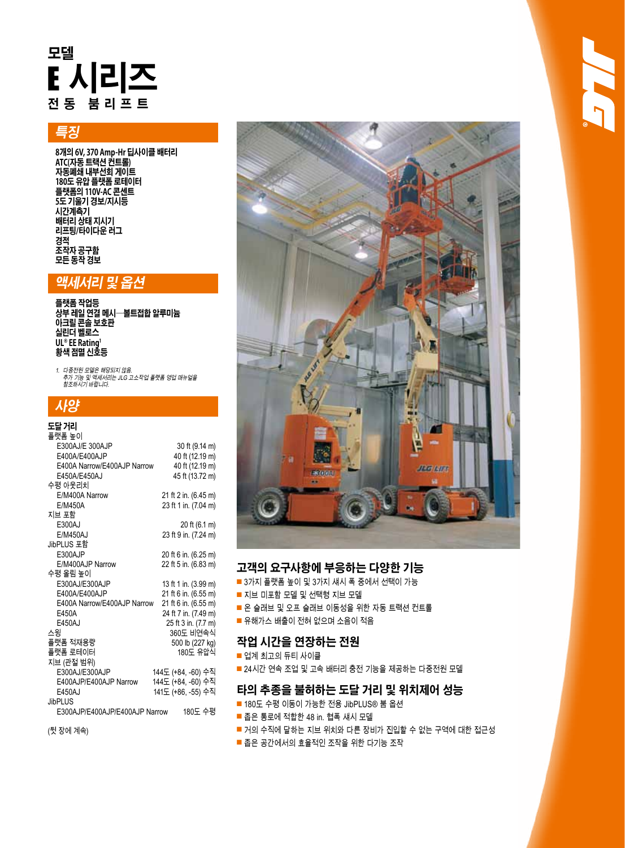# **모델** E **시리즈 전동 붐리프트**

# **특징**

**8개의 6V, 370 Amp-Hr 딥사이클 배터리 ATC(자동 트랙션 컨트롤) 자동폐쇄 내부선회 게이트 180도 유압 플랫폼 로테이터 플랫폼의 110V-AC 콘센트 5도 기울기 경보/지시등 시간계측기 배터리 상태 지시기 리프팅/타이다운 러그 경적 조작자 공구함 모든 동작 경보**

## **액세서리 및 옵션**

**플랫폼 작업등 상부 레일 연결 메시—볼트접합 알루미늄 아크릴 콘솔 보호판 실린더 벨로스 UL® EE Rating1 황색 점멸 신호등**

1. 다중전원 모델은 해당되지 않음.<br>- 추가 기능 및 액세서리는 JLG 고소작업 플랫폼 영업 매뉴얼을<br>- 참조하시기 바랍니다.

#### **사양** ------

| 노날 거리                          |                      |
|--------------------------------|----------------------|
| 플랫폼 높이                         |                      |
| E300AJ/E 300AJP                | 30 ft (9.14 m)       |
| E400A/E400AJP                  | 40 ft (12.19 m)      |
| E400A Narrow/E400AJP Narrow    | 40 ft (12.19 m)      |
| E450A/E450AJ                   | 45 ft (13.72 m)      |
| 수평 아웃리치                        |                      |
| E/M400A Narrow                 | 21 ft 2 in. (6.45 m) |
| E/M450A                        | 23 ft 1 in. (7.04 m) |
| 지브 포함                          |                      |
| E300AJ                         | 20 ft (6.1 m)        |
| E/M450AJ                       | 23 ft 9 in. (7.24 m) |
| JibPLUS 포함                     |                      |
| E300AJP                        | 20 ft 6 in. (6.25 m) |
| E/M400AJP Narrow               | 22 ft 5 in. (6.83 m) |
| 수평 올림 높이                       |                      |
| E300AJ/E300AJP                 | 13 ft 1 in. (3.99 m) |
| E400A/E400AJP                  | 21 ft 6 in. (6.55 m) |
| E400A Narrow/E400AJP Narrow    | 21 ft 6 in. (6.55 m) |
| E450A                          | 24 ft 7 in. (7.49 m) |
| E450AJ                         | 25 ft 3 in. (7.7 m)  |
| 스윙                             | 360도 비연속식            |
| 플랫폼 적재용량                       | 500 lb (227 kg)      |
| 플랫폼 로테이터                       | 180도 유압식             |
| 지브 (관절 범위)                     |                      |
| E300AJ/E300AJP                 | 144도 (+84, -60) 수직   |
| E400AJP/E400AJP Narrow         | 144도 (+84, -60) 수직   |
| E450AJ                         | 141도 (+86, -55) 수직   |
| <b>JibPLUS</b>                 |                      |
| E300AJP/E400AJP/E400AJP Narrow | 180도 수평              |
|                                |                      |
|                                |                      |

(뒷 장에 계속)



#### **고객의 요구사항에 부응하는 다양한 기능**

- 3가지 플랫폼 높이 및 3가지 섀시 폭 중에서 선택이 가능
- 지브 미포함 모델 및 선택형 지브 모델
- 온 슬래브 및 오프 슬래브 이동성을 위한 자동 트랙션 컨트롤
- 유해가스 배출이 전혀 없으며 소음이 적음

### **작업 시간을 연장하는 전원**

■ 업계 최고의 듀티 사이클

■ 24시간 연속 조업 및 고속 배터리 충전 기능을 제공하는 다중전원 모델

### **타의 추종을 불허하는 도달 거리 및 위치제어 성능**

- 180도 수평 이동이 가능한 전용 JibPLUS® 붐 옵션
- 좁은 통로에 적합한 48 in. 협폭 섀시 모델
- 거의 수직에 달하는 지브 위치와 다른 장비가 진입할 수 없는 구역에 대한 접근성
- 좁은 공간에서의 효율적인 조작을 위한 다기능 조작